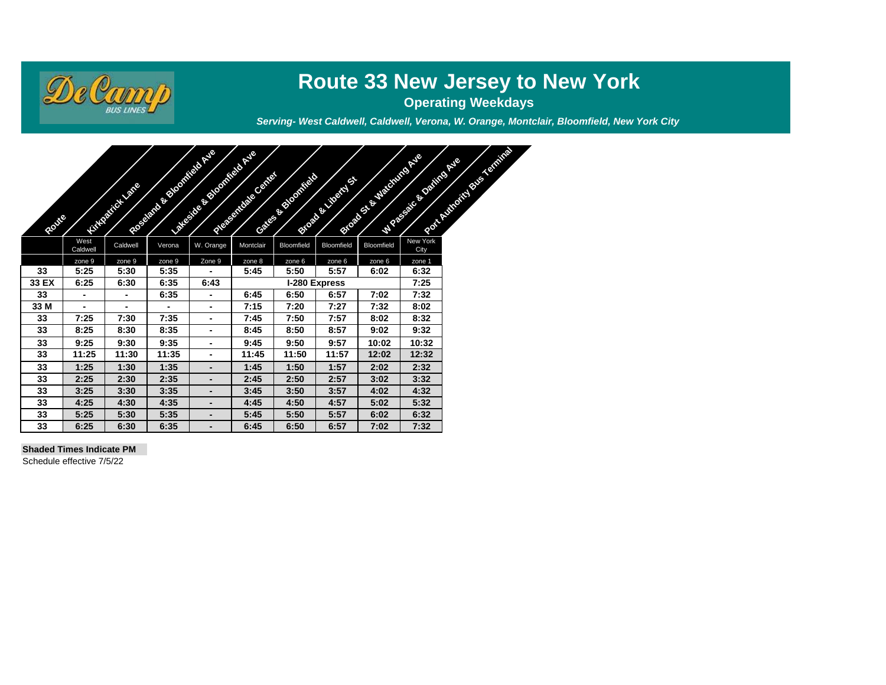

# **Route 33 New Jersey to New York**

**Operating Weekdays**

*Serving- West Caldwell, Caldwell, Verona, W. Orange, Montclair, Bloomfield, New York City*

| Route |                  | <b>CONTRACTOR</b> | And Concern of the Concern of | All Concerns of the Concerns of | And of the United States | <b>CONTRACTOR</b> | <b>CONTRACTOR</b> | <b>CONSTRUCTION OF BRIDER</b> | <b>CONTRACTOR</b> | <b>CONSTRUCTION OF BRIDE</b> |
|-------|------------------|-------------------|-------------------------------|---------------------------------|--------------------------|-------------------|-------------------|-------------------------------|-------------------|------------------------------|
|       | West<br>Caldwell | Caldwell          | Verona                        | W. Orange                       | Montclair                | Bloomfield        | Bloomfield        | Bloomfield                    | New York<br>City  |                              |
|       | zone 9           | zone 9            | zone 9                        | Zone 9                          | zone 8                   | zone 6            | zone 6            | zone 6                        | zone 1            |                              |
| 33    | 5:25             | 5:30              | 5:35                          |                                 | 5:45                     | 5:50              | 5:57              | 6:02                          | 6:32              |                              |
| 33 EX | 6:25             | 6:30              | 6:35                          | 6:43                            |                          |                   | I-280 Express     | 7:25                          |                   |                              |
| 33    | $\blacksquare$   | $\blacksquare$    | 6:35                          | ۰                               | 6:45                     | 6:50              | 6:57              | 7:02                          | 7:32              |                              |
| 33 M  | $\blacksquare$   | $\blacksquare$    | ۰                             | ۰                               | 7:15                     | 7:20              | 7:27              | 7:32                          | 8:02              |                              |
| 33    | 7:25             | 7:30              | 7:35                          | ۰                               | 7:45                     | 7:50              | 7:57              | 8:02                          | 8:32              |                              |
| 33    | 8:25             | 8:30              | 8:35                          | ۰                               | 8:45                     | 8:50              | 8:57              | 9:02                          | 9:32              |                              |
| 33    | 9:25             | 9:30              | 9:35                          | -                               | 9:45                     | 9:50              | 9:57              | 10:02                         | 10:32             |                              |
| 33    | 11:25            | 11:30             | 11:35                         | ٠                               | 11:45                    | 11:50             | 11:57             | 12:02                         | 12:32             |                              |
| 33    | 1:25             | 1:30              | 1:35                          | -                               | 1:45                     | 1:50              | 1:57              | 2:02                          | 2:32              |                              |
| 33    | 2:25             | 2:30              | 2:35                          | -                               | 2:45                     | 2:50              | 2:57              | 3:02                          | 3:32              |                              |
| 33    | 3:25             | 3:30              | 3:35                          | -                               | 3:45                     | 3:50              | 3:57              | 4:02                          | 4:32              |                              |
| 33    | 4:25             | 4:30              | 4:35                          |                                 | 4:45                     | 4:50              | 4:57              | 5:02                          | 5:32              |                              |
| 33    | 5:25             | 5:30              | 5:35                          |                                 | 5:45                     | 5:50              | 5:57              | 6:02                          | 6:32              |                              |
| 33    | 6:25             | 6:30              | 6:35                          |                                 | 6:45                     | 6:50              | 6:57              | 7:02                          | 7:32              |                              |

#### **Shaded Times Indicate PM**

Schedule effective 7/5/22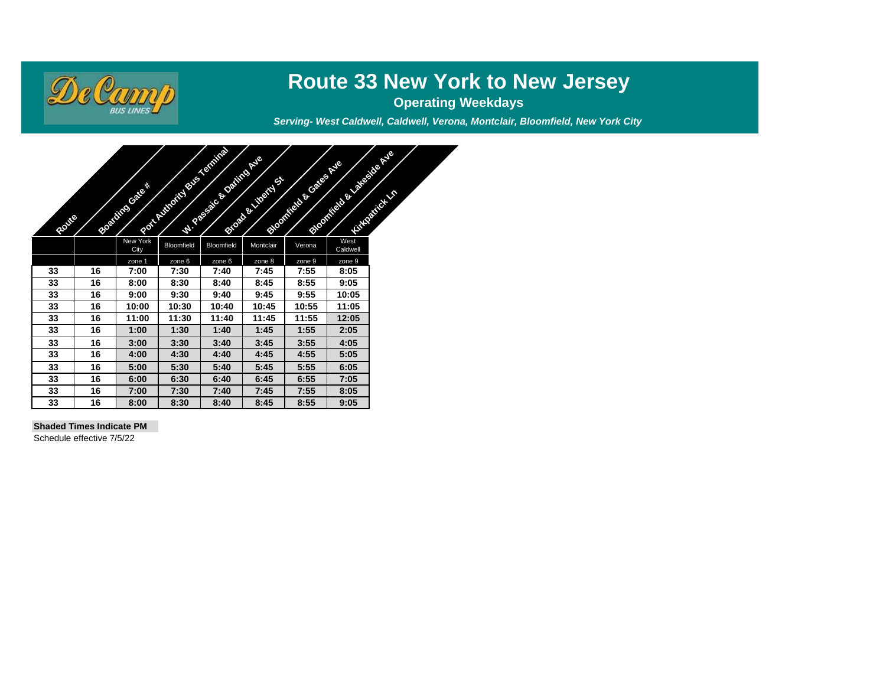

### **Route 33 New York to New Jersey**

**Operating Weekdays**

*Serving- West Caldwell, Caldwell, Verona, Montclair, Bloomfield, New York City*



#### **Shaded Times Indicate PM**

Schedule effective 7/5/22